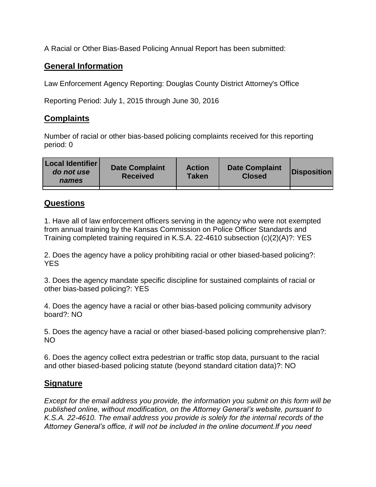A Racial or Other Bias-Based Policing Annual Report has been submitted:

## **General Information**

Law Enforcement Agency Reporting: Douglas County District Attorney's Office

Reporting Period: July 1, 2015 through June 30, 2016

## **Complaints**

Number of racial or other bias-based policing complaints received for this reporting period: 0

| <b>Local Identifier</b><br>do not use<br>names | <b>Date Complaint</b><br><b>Received</b> | <b>Action</b><br><b>Taken</b> | <b>Date Complaint</b><br><b>Closed</b> | Disposition |
|------------------------------------------------|------------------------------------------|-------------------------------|----------------------------------------|-------------|
|                                                |                                          |                               |                                        |             |

## **Questions**

1. Have all of law enforcement officers serving in the agency who were not exempted from annual training by the Kansas Commission on Police Officer Standards and Training completed training required in K.S.A. 22-4610 subsection (c)(2)(A)?: YES

2. Does the agency have a policy prohibiting racial or other biased-based policing?: YES

3. Does the agency mandate specific discipline for sustained complaints of racial or other bias-based policing?: YES

4. Does the agency have a racial or other bias-based policing community advisory board?: NO

5. Does the agency have a racial or other biased-based policing comprehensive plan?: NO

6. Does the agency collect extra pedestrian or traffic stop data, pursuant to the racial and other biased-based policing statute (beyond standard citation data)?: NO

## **Signature**

*Except for the email address you provide, the information you submit on this form will be published online, without modification, on the Attorney General's website, pursuant to K.S.A. 22-4610. The email address you provide is solely for the internal records of the Attorney General's office, it will not be included in the online document.If you need*